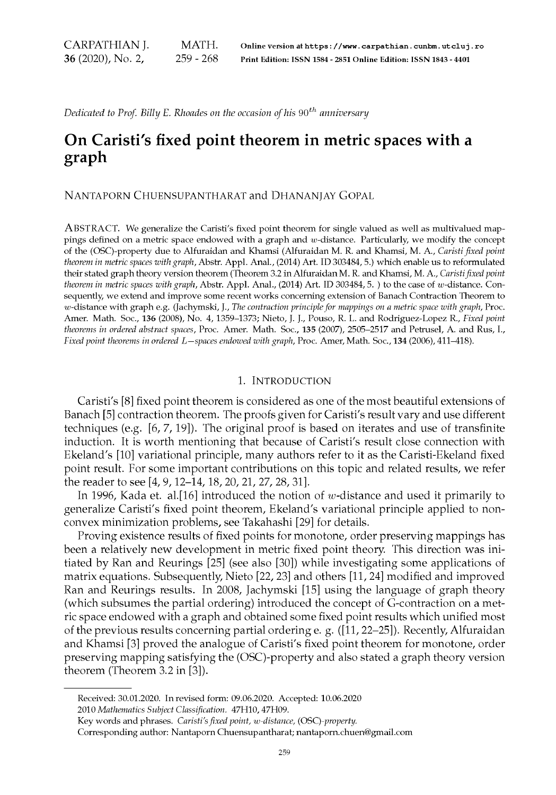CARPATHIAN J. 36 (2020), No. 2, MATH. Online version at **https** ะ //www**. Carpathian. cunbm. utcluj . ro** 259 - 268 Print Edition: ISSN 1584 - 2851 Online Edition: ISSN 1843 - 4401

*Dedicated to Prof. Billy E. Rhoades on the occasion of his 90th anniversary*

## **On Caristi's fixed point theorem in metric spaces with a graph**

Nantaporn Chuensupantharat and Dhananjay Gopal

ABSTRACT. We generalize the Caristi's fixed point theorem for single valued as well as multivalued mappings defined on a metric space endowed with a graph and  $w$ -distance. Particularly, we modify the concept of the (OSC)-property due to Alfuraidan and Khamsi (Alfuraidan M. R. and Khamsi, M. A., *Caristi fixed point theorem in metric spaces with graph,* Abstr. Appl. Anal., (2014) Art. ID 303484, 5.) which enable us to reformulated their stated graph theory version theorem (Theorem 3.2 in Alfuraidan M. R. and Khamsi, M. A., *Caristi fixed point theorem in metric spaces with graph, Abstr. Appl. Anal., (2014) Art. ID 303484, 5.) to the case of w-distance. Con*sequently, we extend and improve some recent works concerning extension of Banach Contraction Theorem to w-distance with graph e.g. (Jachymski, J., *The contraction principle for mappings on a metric space with graph*, Proc. Amer. Math. Soc., 136 (2008), No. 4, 1359-1373; Nieto, J. J., Pouso, R. L. and Rodriguez-Lopez R., *Fixed point theorems in ordered abstract spaces,* Proc. Amer. Math. Soc., 135 (2007), 2505-2517 and Petrusel, A. and Rus, I., *Fixed point theorems in ordered L —spaces endowed with graph,* Proc. Amer, Math. Soc., 134 (2006), 411^18).

## 1. Introduction

Caristi's [8] fixed point theorem is considered as one of the most beautiful extensions of Banach [5] contraction theorem. The proofs given for Caristi's result vary and use different techniques (e.g. [6, 7, 19]). The original proof is based on iterates and use of transfinite induction. It is worth mentioning that because of Caristi's result close connection with Ekeland's [10] variational principle, many authors refer to it as the Caristi-Ekeland fixed point result. For some important contributions on this topic and related results, we refer the reader to see [4, 9,12-14,18, 20, 21, 27, 28, 31].

In 1996, Kada et. al. [16] introduced the notion of w-distance and used it primarily to generalize Caristi's fixed point theorem, Ekeland's variational principle applied to nonconvex minimization problems, see Takahashi [29] for details.

Proving existence results of fixed points for monotone, order preserving mappings has been a relatively new development in metric fixed point theory. This direction was initiated by Ran and Reurings [25] (see also [30]) while investigating some applications of matrix equations. Subsequently, Nieto [22, 23] and others [11, 24] modified and improved Ran and Reurings results. In 2008, Jachymski [15] using the language of graph theory (which subsumes the partial ordering) introduced the concept of G-contraction on a metric space endowed with a graph and obtained some fixed point results which unified most of the previous results concerning partial ordering e. g. ([11,22-25]). Recently, Alfuraidan and Khamsi [3] proved the analogue of Caristi's fixed point theorem for monotone, order preserving mapping satisfying the (OSC)-property and also stated a graph theory version theorem (Theorem 3.2 in [3]).

Received: 30.01.2020. In revised form: 09.06.2020. Accepted: 10.06.2020 2010 *Mathematics Subject Classification.* 47H10,47H09.

Key words and phrases. *Caristi's fixed point, พ-distance,* (*OSC)-property.*

Corresponding author: Nantaporn Chuensupantharat; [nantaporn.chuen@gmail.com](mailto:nantaporn.chuen@gmail.com)